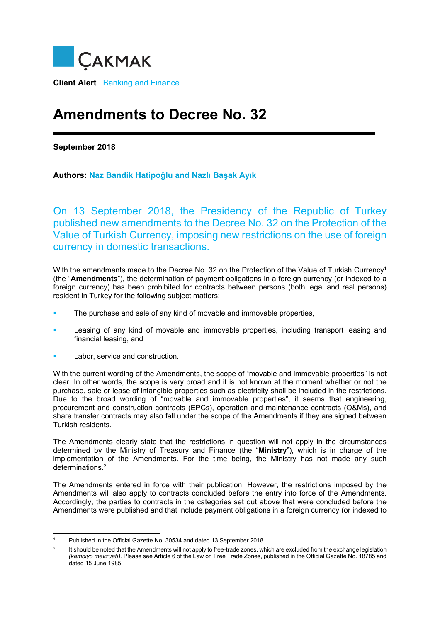

**Client Alert** | Banking and Finance

## **Amendments to Decree No. 32**

**September 2018** 

**Authors: Naz Bandik Hatipoğlu and Nazlı Başak Ayık**

On 13 September 2018, the Presidency of the Republic of Turkey published new amendments to the Decree No. 32 on the Protection of the Value of Turkish Currency, imposing new restrictions on the use of foreign currency in domestic transactions.

With the amendments made to the Decree No. 32 on the Protection of the Value of Turkish Currency<sup>1</sup> (the "**Amendments**"), the determination of payment obligations in a foreign currency (or indexed to a foreign currency) has been prohibited for contracts between persons (both legal and real persons) resident in Turkey for the following subject matters:

- The purchase and sale of any kind of movable and immovable properties,
- Leasing of any kind of movable and immovable properties, including transport leasing and financial leasing, and
- Labor, service and construction.

1

With the current wording of the Amendments, the scope of "movable and immovable properties" is not clear. In other words, the scope is very broad and it is not known at the moment whether or not the purchase, sale or lease of intangible properties such as electricity shall be included in the restrictions. Due to the broad wording of "movable and immovable properties", it seems that engineering, procurement and construction contracts (EPCs), operation and maintenance contracts (O&Ms), and share transfer contracts may also fall under the scope of the Amendments if they are signed between Turkish residents.

The Amendments clearly state that the restrictions in question will not apply in the circumstances determined by the Ministry of Treasury and Finance (the "**Ministry**"), which is in charge of the implementation of the Amendments. For the time being, the Ministry has not made any such determinations.2

The Amendments entered in force with their publication. However, the restrictions imposed by the Amendments will also apply to contracts concluded before the entry into force of the Amendments. Accordingly, the parties to contracts in the categories set out above that were concluded before the Amendments were published and that include payment obligations in a foreign currency (or indexed to

<sup>1</sup> Published in the Official Gazette No. 30534 and dated 13 September 2018.

 $\overline{2}$  It should be noted that the Amendments will not apply to free-trade zones, which are excluded from the exchange legislation *(kambiyo mevzuatı)*. Please see Article 6 of the Law on Free Trade Zones, published in the Official Gazette No. 18785 and dated 15 June 1985.